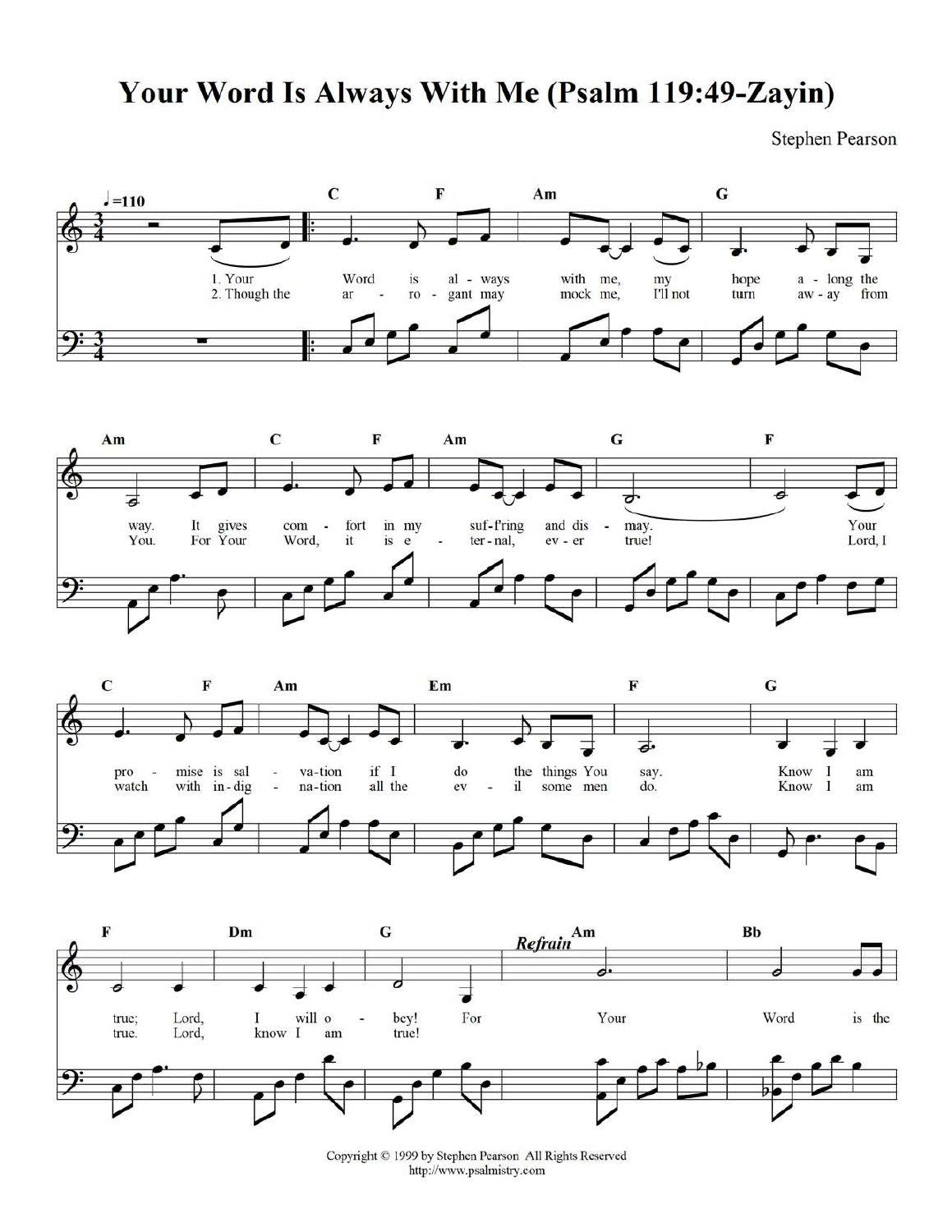## Your Word Is Always With Me (Psalm 119:49-Zayin)

**Stephen Pearson** 









Copyright © 1999 by Stephen Pearson All Rights Reserved http://www.psalmistry.com